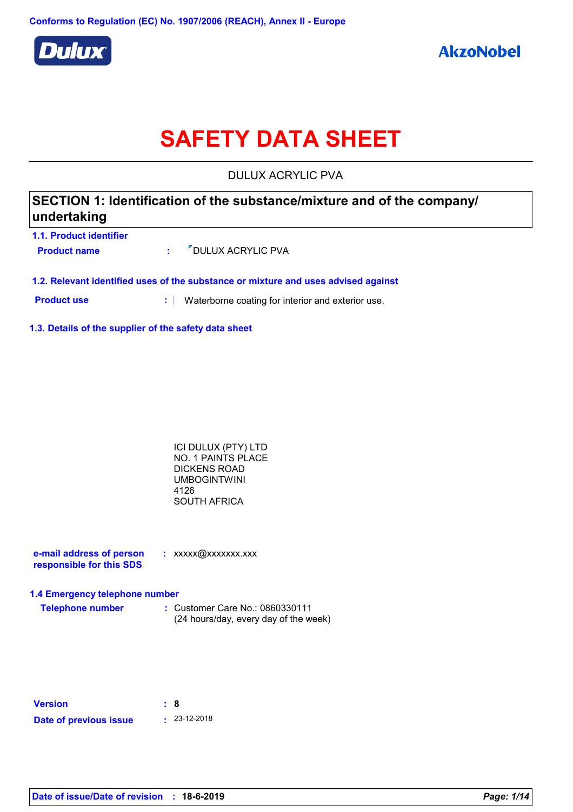

# **SAFETY DATA SHEET**

DULUX ACRYLIC PVA

| undertaking             | SECTION 1: Identification of the substance/mixture and of the company/ |  |
|-------------------------|------------------------------------------------------------------------|--|
| 1.1. Product identifier |                                                                        |  |
| <b>Product name</b>     | " DULUX ACRYLIC PVA                                                    |  |

**1.2. Relevant identified uses of the substance or mixture and uses advised against**

**Product use <b>:** Waterborne coating for interior and exterior use.

**1.3. Details of the supplier of the safety data sheet**

| ICI DULUX (PTY) LTD       |  |
|---------------------------|--|
| <b>NO. 1 PAINTS PLACE</b> |  |
| DICKENS ROAD              |  |
| UMBOGINTWINI              |  |
| 4126                      |  |
| SOUTH AFRICA              |  |
|                           |  |

| e-mail address of person | : xxxxx@xxxxxxx.xxx |
|--------------------------|---------------------|
| responsible for this SDS |                     |

### **1.4 Emergency telephone number**

**Telephone number :** Customer Care No.: 0860330111 (24 hours/day, every day of the week)

| <b>Version</b>         | : 8 |                    |
|------------------------|-----|--------------------|
| Date of previous issue |     | $\cdot$ 23-12-2018 |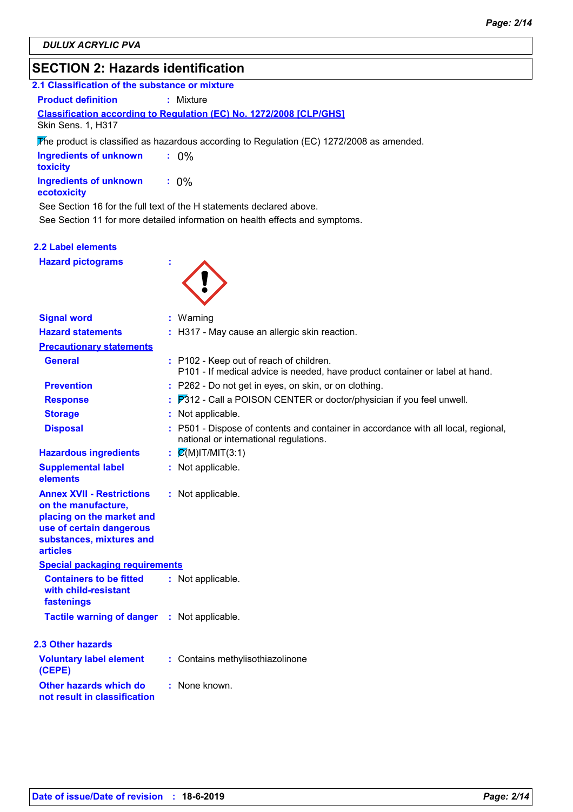# **SECTION 2: Hazards identification**

### **Classification according to Regulation (EC) No. 1272/2008 [CLP/GHS] 2.1 Classification of the substance or mixture Product definition : Mixture**

Skin Sens. 1, H317

The product is classified as hazardous according to Regulation (EC) 1272/2008 as amended.

| <b>Ingredients of unknown</b><br>toxicity |         |
|-------------------------------------------|---------|
| Ingredients of unknown<br>ecotoxicity     | $: 0\%$ |

See Section 16 for the full text of the H statements declared above.

See Section 11 for more detailed information on health effects and symptoms.

### **2.2 Label elements**

**Hazard pictograms :**



| <b>Signal word</b>                                                                                                                                       | : Warning                                                                                                                    |
|----------------------------------------------------------------------------------------------------------------------------------------------------------|------------------------------------------------------------------------------------------------------------------------------|
| <b>Hazard statements</b>                                                                                                                                 | : H317 - May cause an allergic skin reaction.                                                                                |
| <b>Precautionary statements</b>                                                                                                                          |                                                                                                                              |
| <b>General</b>                                                                                                                                           | : P102 - Keep out of reach of children.<br>P101 - If medical advice is needed, have product container or label at hand.      |
| <b>Prevention</b>                                                                                                                                        | : P262 - Do not get in eyes, on skin, or on clothing.                                                                        |
| <b>Response</b>                                                                                                                                          | P312 - Call a POISON CENTER or doctor/physician if you feel unwell.                                                          |
| <b>Storage</b>                                                                                                                                           | Not applicable.                                                                                                              |
| <b>Disposal</b>                                                                                                                                          | : P501 - Dispose of contents and container in accordance with all local, regional,<br>national or international regulations. |
| <b>Hazardous ingredients</b>                                                                                                                             | $\mathcal{Q}(M)$ IT/MIT(3:1)                                                                                                 |
| <b>Supplemental label</b><br>elements                                                                                                                    | : Not applicable.                                                                                                            |
| <b>Annex XVII - Restrictions</b><br>on the manufacture,<br>placing on the market and<br>use of certain dangerous<br>substances, mixtures and<br>articles | : Not applicable.                                                                                                            |
| <b>Special packaging requirements</b>                                                                                                                    |                                                                                                                              |
| <b>Containers to be fitted</b><br>with child-resistant<br>fastenings                                                                                     | : Not applicable.                                                                                                            |
| <b>Tactile warning of danger</b>                                                                                                                         | : Not applicable.                                                                                                            |
| <b>2.3 Other hazards</b>                                                                                                                                 |                                                                                                                              |
| <b>Voluntary label element</b><br>(CEPE)                                                                                                                 | : Contains methylisothiazolinone                                                                                             |
| Other hazards which do<br>not result in classification                                                                                                   | : None known.                                                                                                                |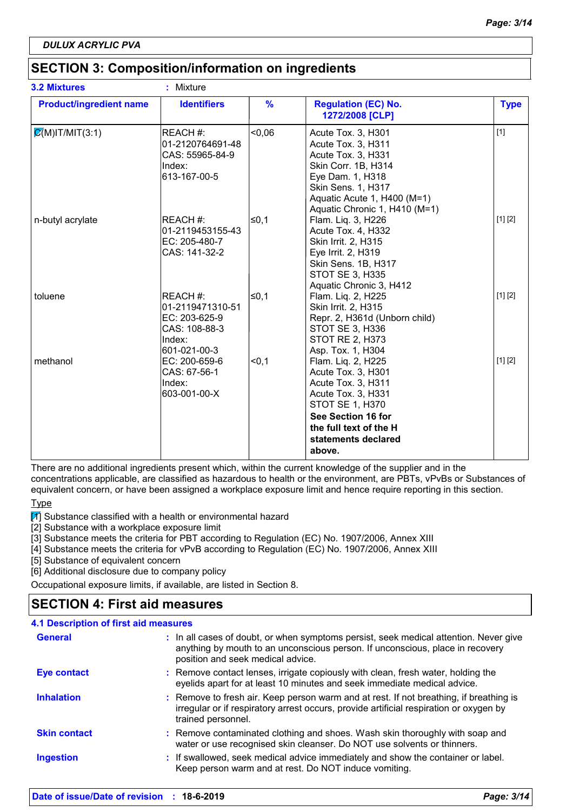# **SECTION 3: Composition/information on ingredients**

| <b>3.2 Mixtures</b>            | Mixture                                                                                  |               |                                                                                                                                                                                                 |             |
|--------------------------------|------------------------------------------------------------------------------------------|---------------|-------------------------------------------------------------------------------------------------------------------------------------------------------------------------------------------------|-------------|
| <b>Product/ingredient name</b> | <b>Identifiers</b>                                                                       | $\frac{9}{6}$ | <b>Regulation (EC) No.</b><br>1272/2008 [CLP]                                                                                                                                                   | <b>Type</b> |
| $\mathcal{Q}(M)$ IT/MIT(3:1)   | REACH #:<br>01-2120764691-48<br>CAS: 55965-84-9<br>Index:<br>613-167-00-5                | $-0,06$       | Acute Tox. 3, H301<br>Acute Tox. 3, H311<br>Acute Tox. 3, H331<br>Skin Corr. 1B, H314<br>Eye Dam. 1, H318<br>Skin Sens. 1, H317<br>Aquatic Acute 1, H400 (M=1)<br>Aquatic Chronic 1, H410 (M=1) | $[1]$       |
| n-butyl acrylate               | REACH #:<br>01-2119453155-43<br>EC: 205-480-7<br>CAS: 141-32-2                           | l≤0,1         | Flam. Liq. 3, H226<br>Acute Tox. 4, H332<br>Skin Irrit. 2, H315<br>Eye Irrit. 2, H319<br>Skin Sens. 1B, H317<br><b>STOT SE 3, H335</b><br>Aquatic Chronic 3, H412                               | [1] [2]     |
| toluene                        | REACH #:<br>01-2119471310-51<br>EC: 203-625-9<br>CAS: 108-88-3<br>Index:<br>601-021-00-3 | ≤0,1          | Flam. Liq. 2, H225<br>Skin Irrit. 2, H315<br>Repr. 2, H361d (Unborn child)<br>STOT SE 3, H336<br>STOT RE 2, H373<br>Asp. Tox. 1, H304                                                           | [1] [2]     |
| methanol                       | EC: 200-659-6<br>CAS: 67-56-1<br>Index:<br>603-001-00-X                                  | < 0.1         | Flam. Liq. 2, H225<br>Acute Tox. 3, H301<br>Acute Tox. 3, H311<br>Acute Tox. 3, H331<br><b>STOT SE 1, H370</b><br>See Section 16 for<br>the full text of the H<br>statements declared<br>above. | [1] [2]     |

There are no additional ingredients present which, within the current knowledge of the supplier and in the

concentrations applicable, are classified as hazardous to health or the environment, are PBTs, vPvBs or Substances of equivalent concern, or have been assigned a workplace exposure limit and hence require reporting in this section.

Type

 $\boxed{1}$  Substance classified with a health or environmental hazard

[2] Substance with a workplace exposure limit

[3] Substance meets the criteria for PBT according to Regulation (EC) No. 1907/2006, Annex XIII

[4] Substance meets the criteria for vPvB according to Regulation (EC) No. 1907/2006, Annex XIII

[5] Substance of equivalent concern

[6] Additional disclosure due to company policy

Occupational exposure limits, if available, are listed in Section 8.

## **SECTION 4: First aid measures**

| 4.1 Description of first aid measures |                                                                                                                                                                                                             |
|---------------------------------------|-------------------------------------------------------------------------------------------------------------------------------------------------------------------------------------------------------------|
| <b>General</b>                        | : In all cases of doubt, or when symptoms persist, seek medical attention. Never give<br>anything by mouth to an unconscious person. If unconscious, place in recovery<br>position and seek medical advice. |
| <b>Eye contact</b>                    | : Remove contact lenses, irrigate copiously with clean, fresh water, holding the<br>eyelids apart for at least 10 minutes and seek immediate medical advice.                                                |
| <b>Inhalation</b>                     | : Remove to fresh air. Keep person warm and at rest. If not breathing, if breathing is<br>irregular or if respiratory arrest occurs, provide artificial respiration or oxygen by<br>trained personnel.      |
| <b>Skin contact</b>                   | : Remove contaminated clothing and shoes. Wash skin thoroughly with soap and<br>water or use recognised skin cleanser. Do NOT use solvents or thinners.                                                     |
| <b>Ingestion</b>                      | : If swallowed, seek medical advice immediately and show the container or label.<br>Keep person warm and at rest. Do NOT induce vomiting.                                                                   |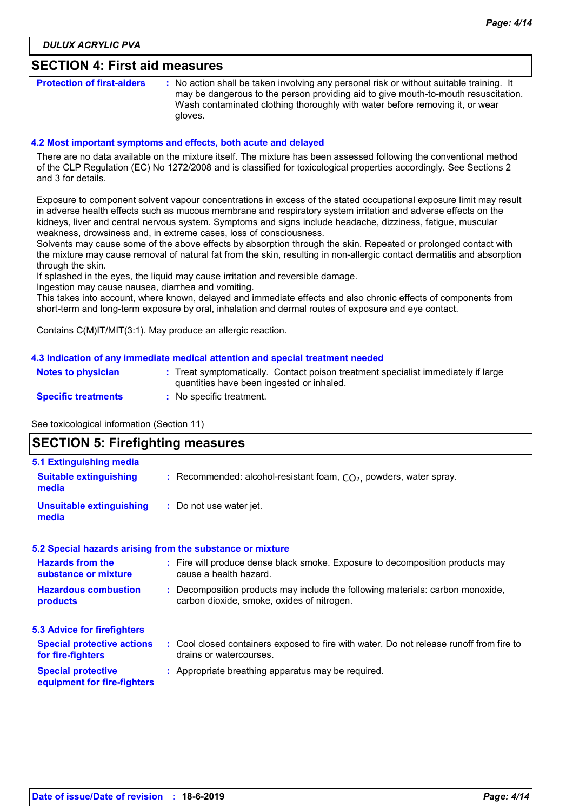### **SECTION 4: First aid measures**

**Protection of first-aiders** : No action shall be taken involving any personal risk or without suitable training. It may be dangerous to the person providing aid to give mouth-to-mouth resuscitation. Wash contaminated clothing thoroughly with water before removing it, or wear gloves.

### **4.2 Most important symptoms and effects, both acute and delayed**

There are no data available on the mixture itself. The mixture has been assessed following the conventional method of the CLP Regulation (EC) No 1272/2008 and is classified for toxicological properties accordingly. See Sections 2 and 3 for details.

Exposure to component solvent vapour concentrations in excess of the stated occupational exposure limit may result in adverse health effects such as mucous membrane and respiratory system irritation and adverse effects on the kidneys, liver and central nervous system. Symptoms and signs include headache, dizziness, fatigue, muscular weakness, drowsiness and, in extreme cases, loss of consciousness.

Solvents may cause some of the above effects by absorption through the skin. Repeated or prolonged contact with the mixture may cause removal of natural fat from the skin, resulting in non-allergic contact dermatitis and absorption through the skin.

If splashed in the eyes, the liquid may cause irritation and reversible damage.

Ingestion may cause nausea, diarrhea and vomiting.

This takes into account, where known, delayed and immediate effects and also chronic effects of components from short-term and long-term exposure by oral, inhalation and dermal routes of exposure and eye contact.

Contains C(M)IT/MIT(3:1). May produce an allergic reaction.

#### **4.3 Indication of any immediate medical attention and special treatment needed**

| <b>Notes to physician</b>  | : Treat symptomatically. Contact poison treatment specialist immediately if large<br>quantities have been ingested or inhaled. |
|----------------------------|--------------------------------------------------------------------------------------------------------------------------------|
| <b>Specific treatments</b> | <sup>1</sup> No specific treatment.                                                                                            |

See toxicological information (Section 11)

#### **SECTION 5: Firefighting measures** Recommended: alcohol-resistant foam, CO₂, powders, water spray. **: :** Do not use water jet. **5.1 Extinguishing media Suitable extinguishing media Unsuitable extinguishing media**

#### **5.2 Special hazards arising from the substance or mixture**

| <b>Hazards from the</b><br>substance or mixture          | : Fire will produce dense black smoke. Exposure to decomposition products may<br>cause a health hazard.                      |  |
|----------------------------------------------------------|------------------------------------------------------------------------------------------------------------------------------|--|
| <b>Hazardous combustion</b><br>products                  | : Decomposition products may include the following materials: carbon monoxide,<br>carbon dioxide, smoke, oxides of nitrogen. |  |
| <b>5.3 Advice for firefighters</b>                       |                                                                                                                              |  |
| <b>Special protective actions</b><br>for fire-fighters   | : Cool closed containers exposed to fire with water. Do not release runoff from fire to<br>drains or watercourses.           |  |
| <b>Special protective</b><br>equipment for fire-fighters | : Appropriate breathing apparatus may be required.                                                                           |  |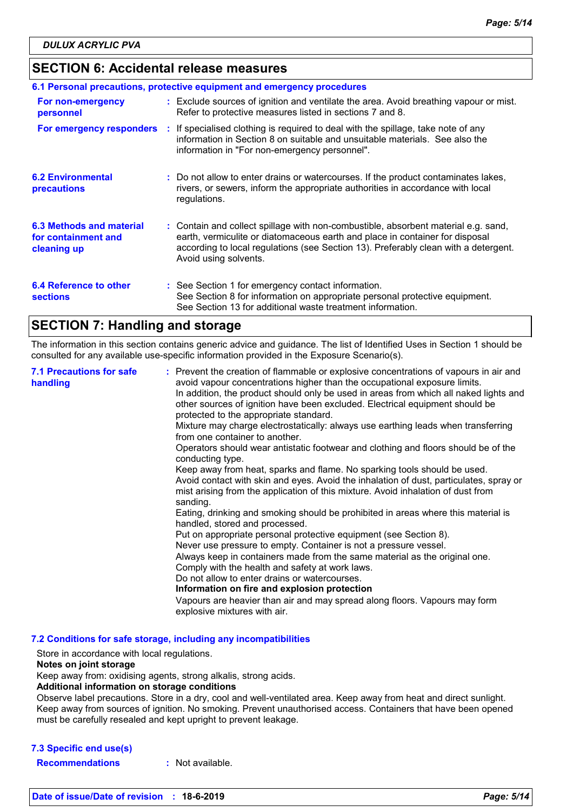### **SECTION 6: Accidental release measures**

| 6.1 Personal precautions, protective equipment and emergency procedures |  |                                                                                                                                                                                                                                                                                    |
|-------------------------------------------------------------------------|--|------------------------------------------------------------------------------------------------------------------------------------------------------------------------------------------------------------------------------------------------------------------------------------|
| For non-emergency<br>personnel                                          |  | : Exclude sources of ignition and ventilate the area. Avoid breathing vapour or mist.<br>Refer to protective measures listed in sections 7 and 8.                                                                                                                                  |
| For emergency responders                                                |  | : If specialised clothing is required to deal with the spillage, take note of any<br>information in Section 8 on suitable and unsuitable materials. See also the<br>information in "For non-emergency personnel".                                                                  |
| <b>6.2 Environmental</b><br>precautions                                 |  | : Do not allow to enter drains or watercourses. If the product contaminates lakes,<br>rivers, or sewers, inform the appropriate authorities in accordance with local<br>regulations.                                                                                               |
| 6.3 Methods and material<br>for containment and<br>cleaning up          |  | : Contain and collect spillage with non-combustible, absorbent material e.g. sand,<br>earth, vermiculite or diatomaceous earth and place in container for disposal<br>according to local regulations (see Section 13). Preferably clean with a detergent.<br>Avoid using solvents. |
| 6.4 Reference to other<br><b>sections</b>                               |  | : See Section 1 for emergency contact information.<br>See Section 8 for information on appropriate personal protective equipment.<br>See Section 13 for additional waste treatment information.                                                                                    |

### **SECTION 7: Handling and storage**

The information in this section contains generic advice and guidance. The list of Identified Uses in Section 1 should be consulted for any available use-specific information provided in the Exposure Scenario(s).

| <b>7.1 Precautions for safe</b><br>handling | : Prevent the creation of flammable or explosive concentrations of vapours in air and<br>avoid vapour concentrations higher than the occupational exposure limits.<br>In addition, the product should only be used in areas from which all naked lights and<br>other sources of ignition have been excluded. Electrical equipment should be<br>protected to the appropriate standard.<br>Mixture may charge electrostatically: always use earthing leads when transferring<br>from one container to another.<br>Operators should wear antistatic footwear and clothing and floors should be of the<br>conducting type.<br>Keep away from heat, sparks and flame. No sparking tools should be used.<br>Avoid contact with skin and eyes. Avoid the inhalation of dust, particulates, spray or<br>mist arising from the application of this mixture. Avoid inhalation of dust from<br>sanding.<br>Eating, drinking and smoking should be prohibited in areas where this material is<br>handled, stored and processed.<br>Put on appropriate personal protective equipment (see Section 8).<br>Never use pressure to empty. Container is not a pressure vessel.<br>Always keep in containers made from the same material as the original one.<br>Comply with the health and safety at work laws.<br>Do not allow to enter drains or watercourses.<br>Information on fire and explosion protection<br>Vapours are heavier than air and may spread along floors. Vapours may form<br>explosive mixtures with air. |
|---------------------------------------------|--------------------------------------------------------------------------------------------------------------------------------------------------------------------------------------------------------------------------------------------------------------------------------------------------------------------------------------------------------------------------------------------------------------------------------------------------------------------------------------------------------------------------------------------------------------------------------------------------------------------------------------------------------------------------------------------------------------------------------------------------------------------------------------------------------------------------------------------------------------------------------------------------------------------------------------------------------------------------------------------------------------------------------------------------------------------------------------------------------------------------------------------------------------------------------------------------------------------------------------------------------------------------------------------------------------------------------------------------------------------------------------------------------------------------------------------------------------------------------------------------------------|
|---------------------------------------------|--------------------------------------------------------------------------------------------------------------------------------------------------------------------------------------------------------------------------------------------------------------------------------------------------------------------------------------------------------------------------------------------------------------------------------------------------------------------------------------------------------------------------------------------------------------------------------------------------------------------------------------------------------------------------------------------------------------------------------------------------------------------------------------------------------------------------------------------------------------------------------------------------------------------------------------------------------------------------------------------------------------------------------------------------------------------------------------------------------------------------------------------------------------------------------------------------------------------------------------------------------------------------------------------------------------------------------------------------------------------------------------------------------------------------------------------------------------------------------------------------------------|

**7.2 Conditions for safe storage, including any incompatibilities**

Store in accordance with local regulations.

### **Notes on joint storage**

Keep away from: oxidising agents, strong alkalis, strong acids.

**Additional information on storage conditions**

Observe label precautions. Store in a dry, cool and well-ventilated area. Keep away from heat and direct sunlight. Keep away from sources of ignition. No smoking. Prevent unauthorised access. Containers that have been opened must be carefully resealed and kept upright to prevent leakage.

### **7.3 Specific end use(s)**

**Recommendations :** Not available.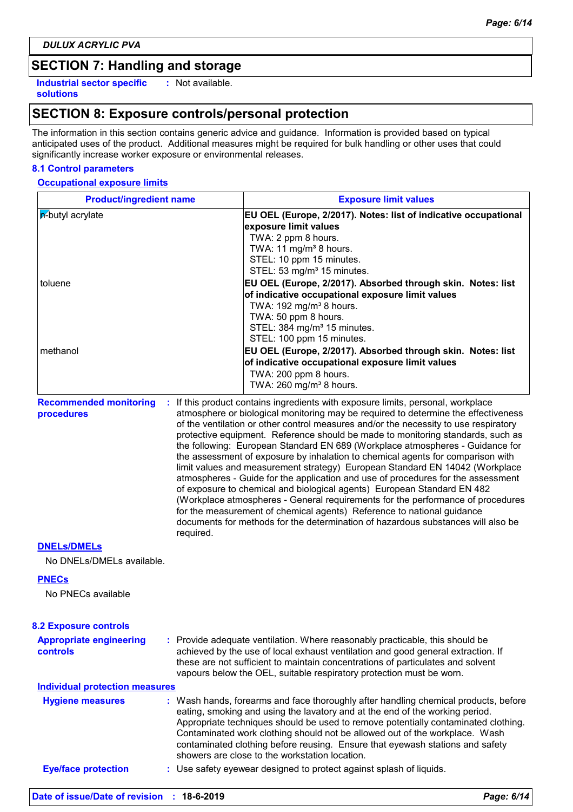# **SECTION 7: Handling and storage**

**Industrial sector specific : solutions**

: Not available.

# **SECTION 8: Exposure controls/personal protection**

The information in this section contains generic advice and guidance. Information is provided based on typical anticipated uses of the product. Additional measures might be required for bulk handling or other uses that could significantly increase worker exposure or environmental releases.

### **8.1 Control parameters**

#### **Occupational exposure limits**

| <b>Product/ingredient name</b>              |           | <b>Exposure limit values</b>                                                                                                                                                                                                                                                                                                                                                                                 |  |  |  |
|---------------------------------------------|-----------|--------------------------------------------------------------------------------------------------------------------------------------------------------------------------------------------------------------------------------------------------------------------------------------------------------------------------------------------------------------------------------------------------------------|--|--|--|
| <b>p</b> -butyl acrylate                    |           | EU OEL (Europe, 2/2017). Notes: list of indicative occupational                                                                                                                                                                                                                                                                                                                                              |  |  |  |
|                                             |           | exposure limit values                                                                                                                                                                                                                                                                                                                                                                                        |  |  |  |
|                                             |           | TWA: 2 ppm 8 hours.                                                                                                                                                                                                                                                                                                                                                                                          |  |  |  |
|                                             |           | TWA: 11 mg/m <sup>3</sup> 8 hours.                                                                                                                                                                                                                                                                                                                                                                           |  |  |  |
|                                             |           | STEL: 10 ppm 15 minutes.                                                                                                                                                                                                                                                                                                                                                                                     |  |  |  |
|                                             |           | STEL: 53 mg/m <sup>3</sup> 15 minutes.                                                                                                                                                                                                                                                                                                                                                                       |  |  |  |
| toluene                                     |           | EU OEL (Europe, 2/2017). Absorbed through skin. Notes: list                                                                                                                                                                                                                                                                                                                                                  |  |  |  |
|                                             |           | of indicative occupational exposure limit values<br>TWA: 192 mg/m <sup>3</sup> 8 hours.                                                                                                                                                                                                                                                                                                                      |  |  |  |
|                                             |           | TWA: 50 ppm 8 hours.                                                                                                                                                                                                                                                                                                                                                                                         |  |  |  |
|                                             |           | STEL: 384 mg/m <sup>3</sup> 15 minutes.                                                                                                                                                                                                                                                                                                                                                                      |  |  |  |
|                                             |           | STEL: 100 ppm 15 minutes.                                                                                                                                                                                                                                                                                                                                                                                    |  |  |  |
| methanol                                    |           | EU OEL (Europe, 2/2017). Absorbed through skin. Notes: list                                                                                                                                                                                                                                                                                                                                                  |  |  |  |
|                                             |           | of indicative occupational exposure limit values                                                                                                                                                                                                                                                                                                                                                             |  |  |  |
|                                             |           | TWA: 200 ppm 8 hours.                                                                                                                                                                                                                                                                                                                                                                                        |  |  |  |
|                                             |           | TWA: 260 mg/m <sup>3</sup> 8 hours.                                                                                                                                                                                                                                                                                                                                                                          |  |  |  |
| <b>Recommended monitoring</b><br>procedures |           | If this product contains ingredients with exposure limits, personal, workplace<br>atmosphere or biological monitoring may be required to determine the effectiveness<br>of the ventilation or other control measures and/or the necessity to use respiratory                                                                                                                                                 |  |  |  |
|                                             |           | protective equipment. Reference should be made to monitoring standards, such as<br>the following: European Standard EN 689 (Workplace atmospheres - Guidance for<br>the assessment of exposure by inhalation to chemical agents for comparison with<br>limit values and measurement strategy) European Standard EN 14042 (Workplace                                                                          |  |  |  |
|                                             |           | atmospheres - Guide for the application and use of procedures for the assessment<br>of exposure to chemical and biological agents) European Standard EN 482<br>(Workplace atmospheres - General requirements for the performance of procedures<br>for the measurement of chemical agents) Reference to national guidance<br>documents for methods for the determination of hazardous substances will also be |  |  |  |
| <b>DNELS/DMELS</b>                          | required. |                                                                                                                                                                                                                                                                                                                                                                                                              |  |  |  |
| No DNELs/DMELs available.                   |           |                                                                                                                                                                                                                                                                                                                                                                                                              |  |  |  |
| <b>PNECs</b>                                |           |                                                                                                                                                                                                                                                                                                                                                                                                              |  |  |  |
| No PNECs available                          |           |                                                                                                                                                                                                                                                                                                                                                                                                              |  |  |  |
| <b>8.2 Exposure controls</b>                |           |                                                                                                                                                                                                                                                                                                                                                                                                              |  |  |  |
| <b>Appropriate engineering</b>              |           | : Provide adequate ventilation. Where reasonably practicable, this should be                                                                                                                                                                                                                                                                                                                                 |  |  |  |
| controls                                    |           | achieved by the use of local exhaust ventilation and good general extraction. If<br>these are not sufficient to maintain concentrations of particulates and solvent<br>vapours below the OEL, suitable respiratory protection must be worn.                                                                                                                                                                  |  |  |  |
| <b>Individual protection measures</b>       |           |                                                                                                                                                                                                                                                                                                                                                                                                              |  |  |  |
| <b>Hygiene measures</b>                     |           | : Wash hands, forearms and face thoroughly after handling chemical products, before                                                                                                                                                                                                                                                                                                                          |  |  |  |
|                                             |           | eating, smoking and using the lavatory and at the end of the working period.<br>Appropriate techniques should be used to remove potentially contaminated clothing.<br>Contaminated work clothing should not be allowed out of the workplace. Wash<br>contaminated clothing before reusing. Ensure that eyewash stations and safety<br>showers are close to the workstation location.                         |  |  |  |
| <b>Eye/face protection</b>                  |           | : Use safety eyewear designed to protect against splash of liquids.                                                                                                                                                                                                                                                                                                                                          |  |  |  |
|                                             |           |                                                                                                                                                                                                                                                                                                                                                                                                              |  |  |  |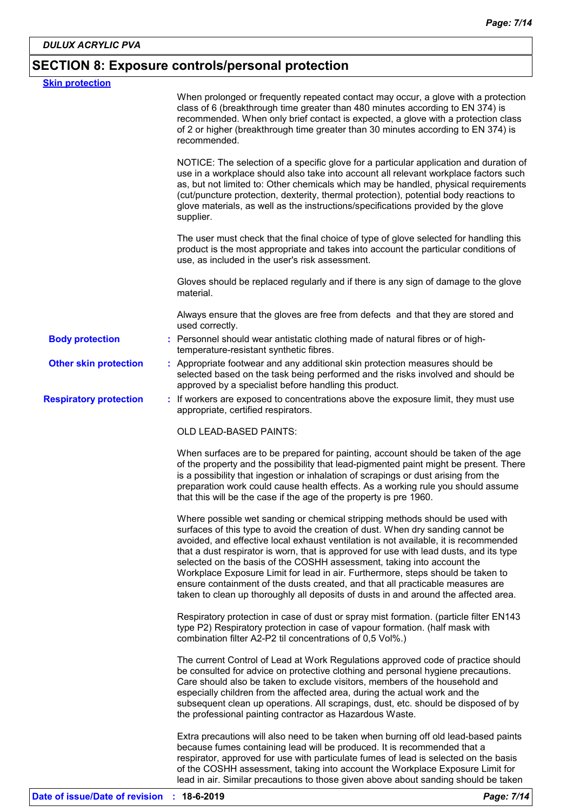# **SECTION 8: Exposure controls/personal protection**

| <b>Skin protection</b>        |                                                                                                                                                                                                                                                                                                                                                                                                                                                                                                                                                                                                                                                                                         |  |
|-------------------------------|-----------------------------------------------------------------------------------------------------------------------------------------------------------------------------------------------------------------------------------------------------------------------------------------------------------------------------------------------------------------------------------------------------------------------------------------------------------------------------------------------------------------------------------------------------------------------------------------------------------------------------------------------------------------------------------------|--|
|                               | When prolonged or frequently repeated contact may occur, a glove with a protection<br>class of 6 (breakthrough time greater than 480 minutes according to EN 374) is<br>recommended. When only brief contact is expected, a glove with a protection class<br>of 2 or higher (breakthrough time greater than 30 minutes according to EN 374) is<br>recommended.                                                                                                                                                                                                                                                                                                                          |  |
|                               | NOTICE: The selection of a specific glove for a particular application and duration of<br>use in a workplace should also take into account all relevant workplace factors such<br>as, but not limited to: Other chemicals which may be handled, physical requirements<br>(cut/puncture protection, dexterity, thermal protection), potential body reactions to<br>glove materials, as well as the instructions/specifications provided by the glove<br>supplier.                                                                                                                                                                                                                        |  |
|                               | The user must check that the final choice of type of glove selected for handling this<br>product is the most appropriate and takes into account the particular conditions of<br>use, as included in the user's risk assessment.                                                                                                                                                                                                                                                                                                                                                                                                                                                         |  |
|                               | Gloves should be replaced regularly and if there is any sign of damage to the glove<br>material.                                                                                                                                                                                                                                                                                                                                                                                                                                                                                                                                                                                        |  |
|                               | Always ensure that the gloves are free from defects and that they are stored and<br>used correctly.                                                                                                                                                                                                                                                                                                                                                                                                                                                                                                                                                                                     |  |
| <b>Body protection</b>        | : Personnel should wear antistatic clothing made of natural fibres or of high-<br>temperature-resistant synthetic fibres.                                                                                                                                                                                                                                                                                                                                                                                                                                                                                                                                                               |  |
| <b>Other skin protection</b>  | : Appropriate footwear and any additional skin protection measures should be<br>selected based on the task being performed and the risks involved and should be<br>approved by a specialist before handling this product.                                                                                                                                                                                                                                                                                                                                                                                                                                                               |  |
| <b>Respiratory protection</b> | : If workers are exposed to concentrations above the exposure limit, they must use<br>appropriate, certified respirators.                                                                                                                                                                                                                                                                                                                                                                                                                                                                                                                                                               |  |
|                               | <b>OLD LEAD-BASED PAINTS:</b>                                                                                                                                                                                                                                                                                                                                                                                                                                                                                                                                                                                                                                                           |  |
|                               | When surfaces are to be prepared for painting, account should be taken of the age<br>of the property and the possibility that lead-pigmented paint might be present. There<br>is a possibility that ingestion or inhalation of scrapings or dust arising from the<br>preparation work could cause health effects. As a working rule you should assume<br>that this will be the case if the age of the property is pre 1960.                                                                                                                                                                                                                                                             |  |
|                               | Where possible wet sanding or chemical stripping methods should be used with<br>surfaces of this type to avoid the creation of dust. When dry sanding cannot be<br>avoided, and effective local exhaust ventilation is not available, it is recommended<br>that a dust respirator is worn, that is approved for use with lead dusts, and its type<br>selected on the basis of the COSHH assessment, taking into account the<br>Workplace Exposure Limit for lead in air. Furthermore, steps should be taken to<br>ensure containment of the dusts created, and that all practicable measures are<br>taken to clean up thoroughly all deposits of dusts in and around the affected area. |  |
|                               | Respiratory protection in case of dust or spray mist formation. (particle filter EN143<br>type P2) Respiratory protection in case of vapour formation. (half mask with<br>combination filter A2-P2 til concentrations of 0,5 Vol%.)                                                                                                                                                                                                                                                                                                                                                                                                                                                     |  |
|                               | The current Control of Lead at Work Regulations approved code of practice should<br>be consulted for advice on protective clothing and personal hygiene precautions.<br>Care should also be taken to exclude visitors, members of the household and<br>especially children from the affected area, during the actual work and the<br>subsequent clean up operations. All scrapings, dust, etc. should be disposed of by<br>the professional painting contractor as Hazardous Waste.                                                                                                                                                                                                     |  |
|                               | Extra precautions will also need to be taken when burning off old lead-based paints<br>because fumes containing lead will be produced. It is recommended that a<br>respirator, approved for use with particulate fumes of lead is selected on the basis<br>of the COSHH assessment, taking into account the Workplace Exposure Limit for<br>lead in air. Similar precautions to those given above about sanding should be taken                                                                                                                                                                                                                                                         |  |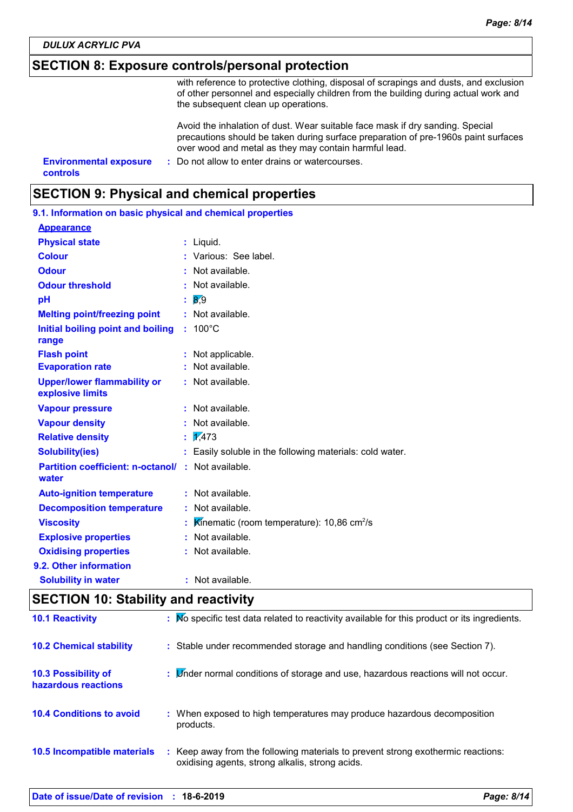### **SECTION 8: Exposure controls/personal protection**

with reference to protective clothing, disposal of scrapings and dusts, and exclusion of other personnel and especially children from the building during actual work and the subsequent clean up operations.

Avoid the inhalation of dust. Wear suitable face mask if dry sanding. Special precautions should be taken during surface preparation of pre-1960s paint surfaces over wood and metal as they may contain harmful lead.

**Environmental exposure : Do not allow to enter drains or watercourses. controls**

### **SECTION 9: Physical and chemical properties**

| 9.1. Information on basic physical and chemical properties         |                                                            |
|--------------------------------------------------------------------|------------------------------------------------------------|
| <b>Appearance</b>                                                  |                                                            |
| <b>Physical state</b>                                              | : Liquid.                                                  |
| <b>Colour</b>                                                      | : Various: See label.                                      |
| <b>Odour</b>                                                       | : Not available.                                           |
| <b>Odour threshold</b>                                             | : Not available.                                           |
| pH                                                                 | 8.9                                                        |
| <b>Melting point/freezing point</b>                                | : Not available.                                           |
| Initial boiling point and boiling<br>range                         | $: 100^{\circ}$ C                                          |
| <b>Flash point</b>                                                 | : Not applicable.                                          |
| <b>Evaporation rate</b>                                            | : Not available.                                           |
| <b>Upper/lower flammability or</b><br>explosive limits             | : Not available.                                           |
| <b>Vapour pressure</b>                                             | : Not available.                                           |
| <b>Vapour density</b>                                              | : Not available.                                           |
| <b>Relative density</b>                                            | $\frac{1}{473}$                                            |
| <b>Solubility(ies)</b>                                             | : Easily soluble in the following materials: cold water.   |
| <b>Partition coefficient: n-octanol/ : Not available.</b><br>water |                                                            |
| <b>Auto-ignition temperature</b>                                   | : Not available.                                           |
| <b>Decomposition temperature</b>                                   | : Not available.                                           |
| <b>Viscosity</b>                                                   | Kinematic (room temperature): 10,86 $\text{cm}^2/\text{s}$ |
| <b>Explosive properties</b>                                        | : Not available.                                           |
| <b>Oxidising properties</b>                                        | : Not available.                                           |
| 9.2. Other information                                             |                                                            |
| <b>Solubility in water</b>                                         | : Not available.                                           |

# **SECTION 10: Stability and reactivity**

| <b>10.1 Reactivity</b>                            | : No specific test data related to reactivity available for this product or its ingredients.                                        |
|---------------------------------------------------|-------------------------------------------------------------------------------------------------------------------------------------|
| <b>10.2 Chemical stability</b>                    | : Stable under recommended storage and handling conditions (see Section 7).                                                         |
| <b>10.3 Possibility of</b><br>hazardous reactions | : Linder normal conditions of storage and use, hazardous reactions will not occur.                                                  |
| <b>10.4 Conditions to avoid</b>                   | : When exposed to high temperatures may produce hazardous decomposition<br>products.                                                |
| <b>10.5 Incompatible materials</b>                | : Keep away from the following materials to prevent strong exothermic reactions:<br>oxidising agents, strong alkalis, strong acids. |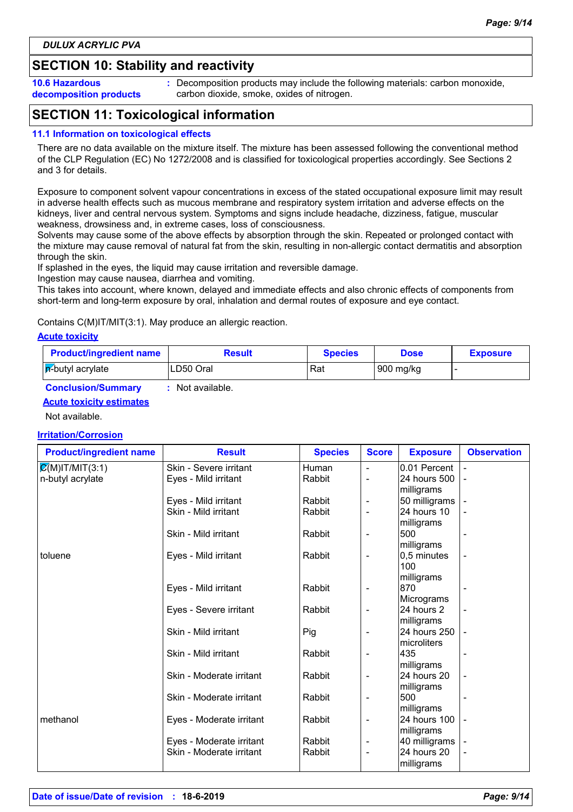# **SECTION 10: Stability and reactivity**

**10.6 Hazardous decomposition products** **:** Decomposition products may include the following materials: carbon monoxide, carbon dioxide, smoke, oxides of nitrogen.

# **SECTION 11: Toxicological information**

### **11.1 Information on toxicological effects**

There are no data available on the mixture itself. The mixture has been assessed following the conventional method of the CLP Regulation (EC) No 1272/2008 and is classified for toxicological properties accordingly. See Sections 2 and 3 for details.

Exposure to component solvent vapour concentrations in excess of the stated occupational exposure limit may result in adverse health effects such as mucous membrane and respiratory system irritation and adverse effects on the kidneys, liver and central nervous system. Symptoms and signs include headache, dizziness, fatigue, muscular weakness, drowsiness and, in extreme cases, loss of consciousness.

Solvents may cause some of the above effects by absorption through the skin. Repeated or prolonged contact with the mixture may cause removal of natural fat from the skin, resulting in non-allergic contact dermatitis and absorption through the skin.

If splashed in the eyes, the liquid may cause irritation and reversible damage.

Ingestion may cause nausea, diarrhea and vomiting.

This takes into account, where known, delayed and immediate effects and also chronic effects of components from short-term and long-term exposure by oral, inhalation and dermal routes of exposure and eye contact.

#### Contains C(M)IT/MIT(3:1). May produce an allergic reaction.

#### **Acute toxicity**

| <b>Product/ingredient name</b> | Result    | Species | <b>Dose</b> | <b>Exposure</b> |
|--------------------------------|-----------|---------|-------------|-----------------|
| <b>F</b> -butyl acrylate       | LD50 Oral | Rat     | 900 mg/kg   |                 |

### **Conclusion/Summary :** Not available.

### **Acute toxicity estimates**

Not available.

#### **Irritation/Corrosion**

| <b>Product/ingredient name</b>          | <b>Result</b>            | <b>Species</b> | <b>Score</b>             | <b>Exposure</b>                 | <b>Observation</b> |
|-----------------------------------------|--------------------------|----------------|--------------------------|---------------------------------|--------------------|
| $\overline{\mathcal{Q}}(M)$ IT/MIT(3:1) | Skin - Severe irritant   | Human          | $\overline{\phantom{a}}$ | 0.01 Percent                    |                    |
| n-butyl acrylate                        | Eyes - Mild irritant     | Rabbit         |                          | 24 hours 500<br>milligrams      |                    |
|                                         | Eyes - Mild irritant     | Rabbit         |                          | 50 milligrams                   |                    |
|                                         | Skin - Mild irritant     | Rabbit         | $\overline{\phantom{a}}$ | 24 hours 10<br>milligrams       |                    |
|                                         | Skin - Mild irritant     | Rabbit         | $\overline{\phantom{a}}$ | 500<br>milligrams               |                    |
| toluene                                 | Eyes - Mild irritant     | Rabbit         | $\overline{\phantom{a}}$ | 0,5 minutes<br>100              |                    |
|                                         | Eyes - Mild irritant     | Rabbit         |                          | milligrams<br>870<br>Micrograms |                    |
|                                         | Eyes - Severe irritant   | Rabbit         | $\overline{\phantom{a}}$ | 24 hours 2<br>milligrams        |                    |
|                                         | Skin - Mild irritant     | Pig            |                          | 24 hours 250<br>microliters     |                    |
|                                         | Skin - Mild irritant     | Rabbit         | $\overline{a}$           | 435<br>milligrams               |                    |
|                                         | Skin - Moderate irritant | Rabbit         | $\overline{\phantom{a}}$ | 24 hours 20<br>milligrams       |                    |
|                                         | Skin - Moderate irritant | Rabbit         | $\overline{a}$           | 500<br>milligrams               |                    |
| methanol                                | Eyes - Moderate irritant | Rabbit         | $\overline{\phantom{a}}$ | 24 hours 100<br>milligrams      |                    |
|                                         | Eyes - Moderate irritant | Rabbit         | $\overline{\phantom{a}}$ | 40 milligrams                   |                    |
|                                         | Skin - Moderate irritant | Rabbit         | $\blacksquare$           | 24 hours 20<br>milligrams       |                    |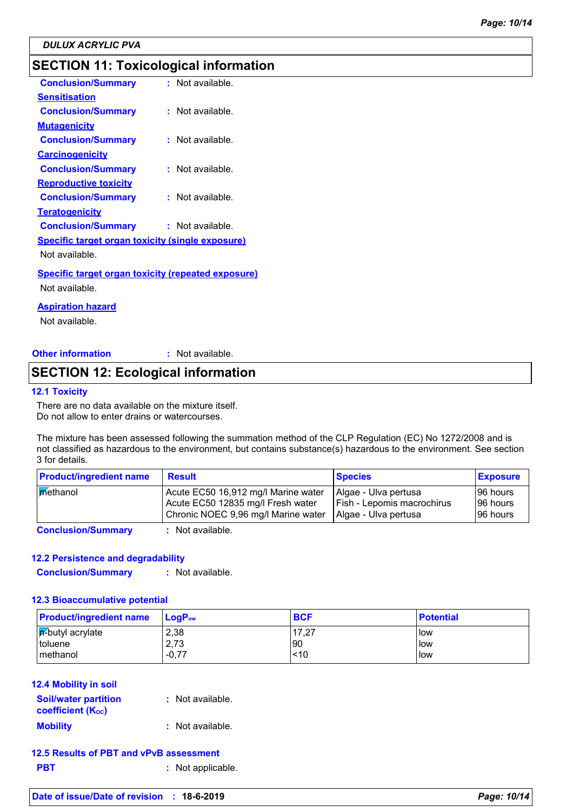# **SECTION 11: Toxicological information**

| <b>Conclusion/Summary</b>                                 | : Not available.   |
|-----------------------------------------------------------|--------------------|
| Sensitisation                                             |                    |
| <b>Conclusion/Summary</b>                                 | : Not available.   |
| <b>Mutagenicity</b>                                       |                    |
| <b>Conclusion/Summary</b>                                 | $:$ Not available. |
| <b>Carcinogenicity</b>                                    |                    |
| <b>Conclusion/Summary</b>                                 | $:$ Not available. |
| <b>Reproductive toxicity</b>                              |                    |
| <b>Conclusion/Summary</b>                                 | : Not available.   |
| <u>Teratogenicity</u>                                     |                    |
| <b>Conclusion/Summary</b>                                 | : Not available.   |
| <b>Specific target organ toxicity (single exposure)</b>   |                    |
| Not available.                                            |                    |
| <b>Specific target organ toxicity (repeated exposure)</b> |                    |
| Not available.                                            |                    |
|                                                           |                    |

**Aspiration hazard**

Not available.

**Other information :** : Not available.

### **SECTION 12: Ecological information**

#### **12.1 Toxicity**

There are no data available on the mixture itself. Do not allow to enter drains or watercourses.

The mixture has been assessed following the summation method of the CLP Regulation (EC) No 1272/2008 and is not classified as hazardous to the environment, but contains substance(s) hazardous to the environment. See section 3 for details.

| <b>Product/ingredient name</b> | <b>Result</b>                                                                                                   | <b>Species</b>                                                                    | <b>Exposure</b>                    |
|--------------------------------|-----------------------------------------------------------------------------------------------------------------|-----------------------------------------------------------------------------------|------------------------------------|
| methanol                       | Acute EC50 16,912 mg/l Marine water<br>Acute EC50 12835 mg/l Fresh water<br>Chronic NOEC 9,96 mg/l Marine water | Algae - Ulva pertusa<br><b>Fish - Lepomis macrochirus</b><br>Algae - Ulva pertusa | 196 hours<br>96 hours<br>196 hours |
|                                |                                                                                                                 |                                                                                   |                                    |

### **Conclusion/Summary :** Not available.

### **12.2 Persistence and degradability**

**Conclusion/Summary :** Not available.

#### **12.3 Bioaccumulative potential**

| <b>Product/ingredient name</b> | $LoaPow$ | <b>BCF</b> | <b>Potential</b> |
|--------------------------------|----------|------------|------------------|
| $ \mathsf{p}'$ -butyl acrylate | 2,38     | 17.27      | <b>low</b>       |
| l toluene                      | 2,73     | l90        | low              |
| Imethanol                      | $-0,77$  | <10        | llow             |

### **12.4 Mobility in soil**

| <b>Soil/water partition</b><br><b>coefficient (Koc)</b> | : Not available. |
|---------------------------------------------------------|------------------|
| <b>Mobility</b>                                         | : Not available. |

|            | 12.5 Results of PBT and vPvB assessment |
|------------|-----------------------------------------|
| <b>PBT</b> | : Not applicable.                       |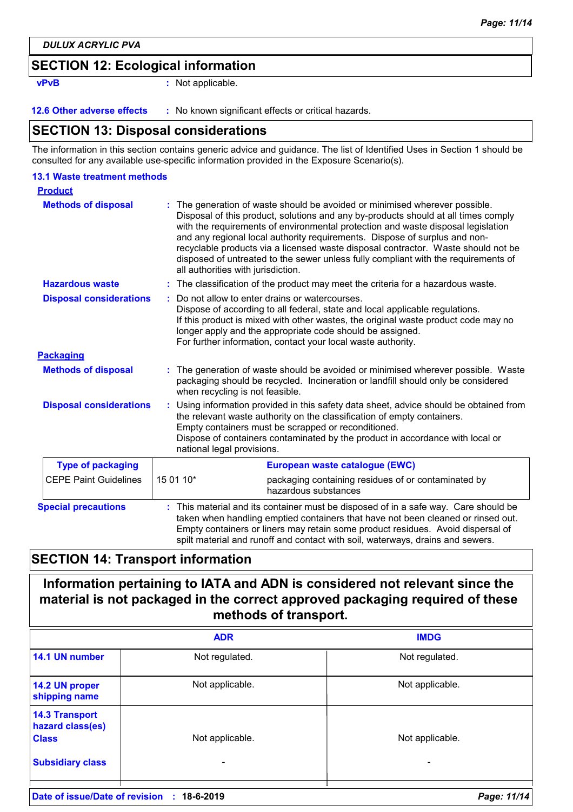### **SECTION 12: Ecological information**

**vPvB :** Not applicable.

**12.6 Other adverse effects** : No known significant effects or critical hazards.

### **SECTION 13: Disposal considerations**

The information in this section contains generic advice and guidance. The list of Identified Uses in Section 1 should be consulted for any available use-specific information provided in the Exposure Scenario(s).

| <b>13.1 Waste treatment methods</b> |                                                                                                                                                                                                                                                                                                                                                                                                                                                                                                                                                      |
|-------------------------------------|------------------------------------------------------------------------------------------------------------------------------------------------------------------------------------------------------------------------------------------------------------------------------------------------------------------------------------------------------------------------------------------------------------------------------------------------------------------------------------------------------------------------------------------------------|
| <b>Product</b>                      |                                                                                                                                                                                                                                                                                                                                                                                                                                                                                                                                                      |
| <b>Methods of disposal</b>          | : The generation of waste should be avoided or minimised wherever possible.<br>Disposal of this product, solutions and any by-products should at all times comply<br>with the requirements of environmental protection and waste disposal legislation<br>and any regional local authority requirements. Dispose of surplus and non-<br>recyclable products via a licensed waste disposal contractor. Waste should not be<br>disposed of untreated to the sewer unless fully compliant with the requirements of<br>all authorities with jurisdiction. |
| <b>Hazardous waste</b>              | : The classification of the product may meet the criteria for a hazardous waste.                                                                                                                                                                                                                                                                                                                                                                                                                                                                     |
| <b>Disposal considerations</b>      | Do not allow to enter drains or watercourses.<br>Dispose of according to all federal, state and local applicable regulations.<br>If this product is mixed with other wastes, the original waste product code may no<br>longer apply and the appropriate code should be assigned.<br>For further information, contact your local waste authority.                                                                                                                                                                                                     |
| <b>Packaging</b>                    |                                                                                                                                                                                                                                                                                                                                                                                                                                                                                                                                                      |
| <b>Methods of disposal</b>          | : The generation of waste should be avoided or minimised wherever possible. Waste<br>packaging should be recycled. Incineration or landfill should only be considered<br>when recycling is not feasible.                                                                                                                                                                                                                                                                                                                                             |
| <b>Disposal considerations</b>      | Using information provided in this safety data sheet, advice should be obtained from<br>÷<br>the relevant waste authority on the classification of empty containers.<br>Empty containers must be scrapped or reconditioned.<br>Dispose of containers contaminated by the product in accordance with local or<br>national legal provisions.                                                                                                                                                                                                           |
| <b>Type of packaging</b>            | European waste catalogue (EWC)                                                                                                                                                                                                                                                                                                                                                                                                                                                                                                                       |
| <b>CEPE Paint Guidelines</b>        | 15 01 10*<br>packaging containing residues of or contaminated by<br>hazardous substances                                                                                                                                                                                                                                                                                                                                                                                                                                                             |
| <b>Special precautions</b>          | This material and its container must be disposed of in a safe way. Care should be<br>taken when handling emptied containers that have not been cleaned or rinsed out.<br>Empty containers or liners may retain some product residues. Avoid dispersal of<br>spilt material and runoff and contact with soil, waterways, drains and sewers.                                                                                                                                                                                                           |

## **SECTION 14: Transport information**

# **Information pertaining to IATA and ADN is considered not relevant since the material is not packaged in the correct approved packaging required of these methods of transport.**

|                                                                                      | <b>ADR</b>           | <b>IMDG</b>          |
|--------------------------------------------------------------------------------------|----------------------|----------------------|
| 14.1 UN number                                                                       | Not regulated.       | Not regulated.       |
| 14.2 UN proper<br>shipping name                                                      | Not applicable.      | Not applicable.      |
| <b>14.3 Transport</b><br>hazard class(es)<br><b>Class</b><br><b>Subsidiary class</b> | Not applicable.<br>٠ | Not applicable.<br>۰ |
|                                                                                      |                      |                      |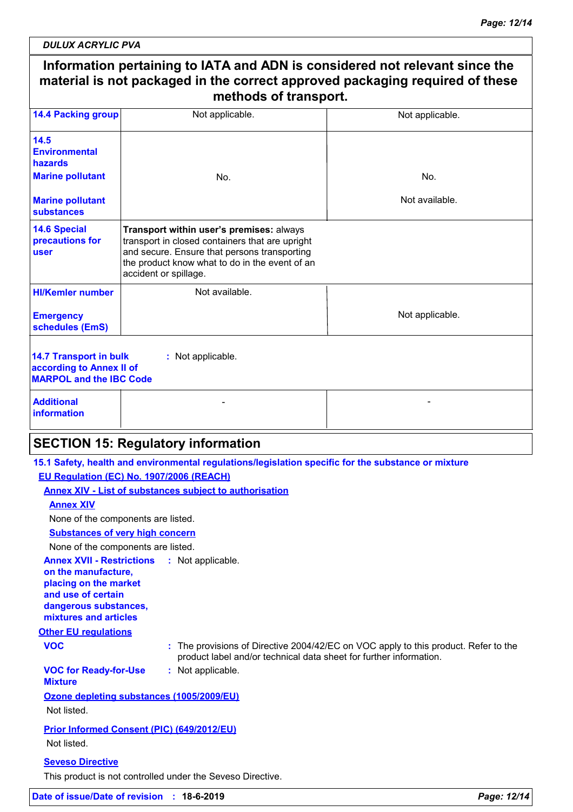| <b>14.4 Packing group</b>                                                                   | Not applicable.                                                                                                                                                                                                        | Not applicable. |  |  |
|---------------------------------------------------------------------------------------------|------------------------------------------------------------------------------------------------------------------------------------------------------------------------------------------------------------------------|-----------------|--|--|
| 14.5<br><b>Environmental</b><br>hazards                                                     |                                                                                                                                                                                                                        |                 |  |  |
| <b>Marine pollutant</b>                                                                     | N <sub>O</sub>                                                                                                                                                                                                         | No.             |  |  |
| <b>Marine pollutant</b><br>substances                                                       |                                                                                                                                                                                                                        | Not available.  |  |  |
| <b>14.6 Special</b><br>precautions for<br>user                                              | Transport within user's premises: always<br>transport in closed containers that are upright<br>and secure. Ensure that persons transporting<br>the product know what to do in the event of an<br>accident or spillage. |                 |  |  |
| <b>HI/Kemler number</b>                                                                     | Not available.                                                                                                                                                                                                         |                 |  |  |
| <b>Emergency</b><br>schedules (EmS)                                                         |                                                                                                                                                                                                                        | Not applicable. |  |  |
| <b>14.7 Transport in bulk</b><br>according to Annex II of<br><b>MARPOL and the IBC Code</b> | : Not applicable.                                                                                                                                                                                                      |                 |  |  |
| <b>Additional</b><br><b>information</b>                                                     |                                                                                                                                                                                                                        |                 |  |  |

### **EU Regulation (EC) No. 1907/2006 (REACH)**

**Annex XIV - List of substances subject to authorisation**

**Annex XIV**

None of the components are listed.

### **Substances of very high concern**

None of the components are listed.

#### **Annex XVII - Restrictions : Not applicable.**

**on the manufacture, placing on the market and use of certain dangerous substances, mixtures and articles**

#### **Other EU regulations**

**VOC :** The provisions of Directive 2004/42/EC on VOC apply to this product. Refer to the product label and/or technical data sheet for further information.

#### **VOC for Ready-for-Use :** Not applicable.

### **Mixture**

**Ozone depleting substances (1005/2009/EU)** Not listed.

### **Prior Informed Consent (PIC) (649/2012/EU)** Not listed.

### **Seveso Directive**

This product is not controlled under the Seveso Directive.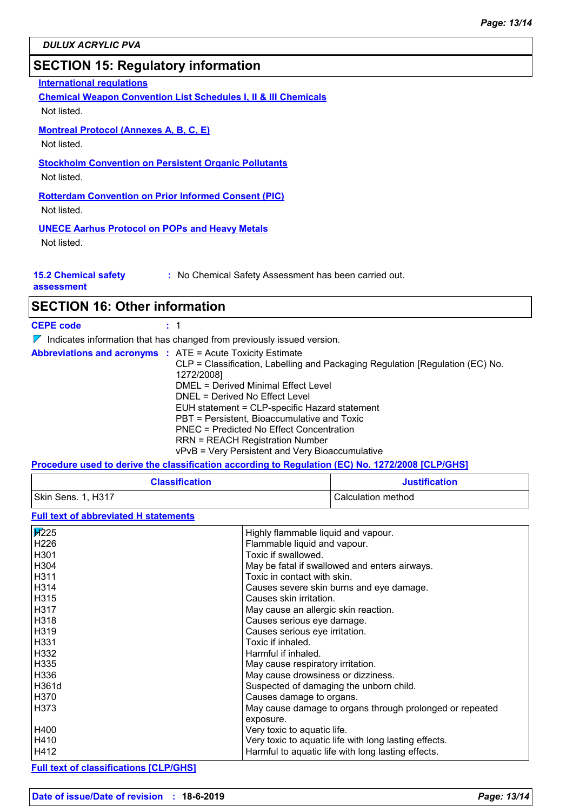### **SECTION 15: Regulatory information**

**International regulations**

**Chemical Weapon Convention List Schedules I, II & III Chemicals**

Not listed.

**Montreal Protocol (Annexes A, B, C, E)**

Not listed.

### **Stockholm Convention on Persistent Organic Pollutants**

Not listed.

**Rotterdam Convention on Prior Informed Consent (PIC)** Not listed.

### **UNECE Aarhus Protocol on POPs and Heavy Metals**

Not listed.

**15.2 Chemical safety** 

**:** No Chemical Safety Assessment has been carried out.

**assessment**

# **SECTION 16: Other information**

**CEPE code :** 1

 $\nabla$  Indicates information that has changed from previously issued version.

|  | <b>Abbreviations and acronyms : ATE = Acute Toxicity Estimate</b>             |
|--|-------------------------------------------------------------------------------|
|  | CLP = Classification, Labelling and Packaging Regulation [Regulation (EC) No. |
|  | 1272/2008]                                                                    |
|  | DMEL = Derived Minimal Effect Level                                           |
|  | DNEL = Derived No Effect Level                                                |
|  | EUH statement = CLP-specific Hazard statement                                 |
|  | PBT = Persistent, Bioaccumulative and Toxic                                   |
|  | PNEC = Predicted No Effect Concentration                                      |
|  | <b>RRN = REACH Registration Number</b>                                        |
|  | vPvB = Very Persistent and Very Bioaccumulative                               |
|  |                                                                               |

**Procedure used to derive the classification according to Regulation (EC) No. 1272/2008 [CLP/GHS]**

| <b>Classification</b> | <b>Justification</b> |
|-----------------------|----------------------|
| Skin Sens. 1, H317    | Calculation method   |

### **Full text of abbreviated H statements**

| Highly flammable liquid and vapour.<br>Flammable liquid and vapour.<br>Toxic if swallowed.<br>May be fatal if swallowed and enters airways.<br>Toxic in contact with skin.<br>Causes severe skin burns and eye damage.<br>Causes skin irritation.<br>May cause an allergic skin reaction.<br>Causes serious eye damage.<br>Causes serious eye irritation.<br>Toxic if inhaled.<br>Harmful if inhaled.<br>May cause respiratory irritation.<br>May cause drowsiness or dizziness.<br>Suspected of damaging the unborn child.<br>Causes damage to organs.<br>May cause damage to organs through prolonged or repeated<br>exposure.<br>Very toxic to aquatic life.<br>Very toxic to aquatic life with long lasting effects.<br>Harmful to aquatic life with long lasting effects. |             |  |
|--------------------------------------------------------------------------------------------------------------------------------------------------------------------------------------------------------------------------------------------------------------------------------------------------------------------------------------------------------------------------------------------------------------------------------------------------------------------------------------------------------------------------------------------------------------------------------------------------------------------------------------------------------------------------------------------------------------------------------------------------------------------------------|-------------|--|
|                                                                                                                                                                                                                                                                                                                                                                                                                                                                                                                                                                                                                                                                                                                                                                                | <b>F225</b> |  |
|                                                                                                                                                                                                                                                                                                                                                                                                                                                                                                                                                                                                                                                                                                                                                                                | H226        |  |
|                                                                                                                                                                                                                                                                                                                                                                                                                                                                                                                                                                                                                                                                                                                                                                                | H301        |  |
|                                                                                                                                                                                                                                                                                                                                                                                                                                                                                                                                                                                                                                                                                                                                                                                | H304        |  |
|                                                                                                                                                                                                                                                                                                                                                                                                                                                                                                                                                                                                                                                                                                                                                                                | H311        |  |
|                                                                                                                                                                                                                                                                                                                                                                                                                                                                                                                                                                                                                                                                                                                                                                                | <b>H314</b> |  |
|                                                                                                                                                                                                                                                                                                                                                                                                                                                                                                                                                                                                                                                                                                                                                                                | H315        |  |
|                                                                                                                                                                                                                                                                                                                                                                                                                                                                                                                                                                                                                                                                                                                                                                                | H317        |  |
|                                                                                                                                                                                                                                                                                                                                                                                                                                                                                                                                                                                                                                                                                                                                                                                | H318        |  |
|                                                                                                                                                                                                                                                                                                                                                                                                                                                                                                                                                                                                                                                                                                                                                                                | H319        |  |
|                                                                                                                                                                                                                                                                                                                                                                                                                                                                                                                                                                                                                                                                                                                                                                                | H331        |  |
|                                                                                                                                                                                                                                                                                                                                                                                                                                                                                                                                                                                                                                                                                                                                                                                | H332        |  |
|                                                                                                                                                                                                                                                                                                                                                                                                                                                                                                                                                                                                                                                                                                                                                                                | H335        |  |
|                                                                                                                                                                                                                                                                                                                                                                                                                                                                                                                                                                                                                                                                                                                                                                                | H336        |  |
|                                                                                                                                                                                                                                                                                                                                                                                                                                                                                                                                                                                                                                                                                                                                                                                | l H361d     |  |
|                                                                                                                                                                                                                                                                                                                                                                                                                                                                                                                                                                                                                                                                                                                                                                                | H370        |  |
|                                                                                                                                                                                                                                                                                                                                                                                                                                                                                                                                                                                                                                                                                                                                                                                | H373 H      |  |
|                                                                                                                                                                                                                                                                                                                                                                                                                                                                                                                                                                                                                                                                                                                                                                                |             |  |
|                                                                                                                                                                                                                                                                                                                                                                                                                                                                                                                                                                                                                                                                                                                                                                                | H400        |  |
|                                                                                                                                                                                                                                                                                                                                                                                                                                                                                                                                                                                                                                                                                                                                                                                | H410        |  |
|                                                                                                                                                                                                                                                                                                                                                                                                                                                                                                                                                                                                                                                                                                                                                                                | H412        |  |

**Full text of classifications [CLP/GHS]**